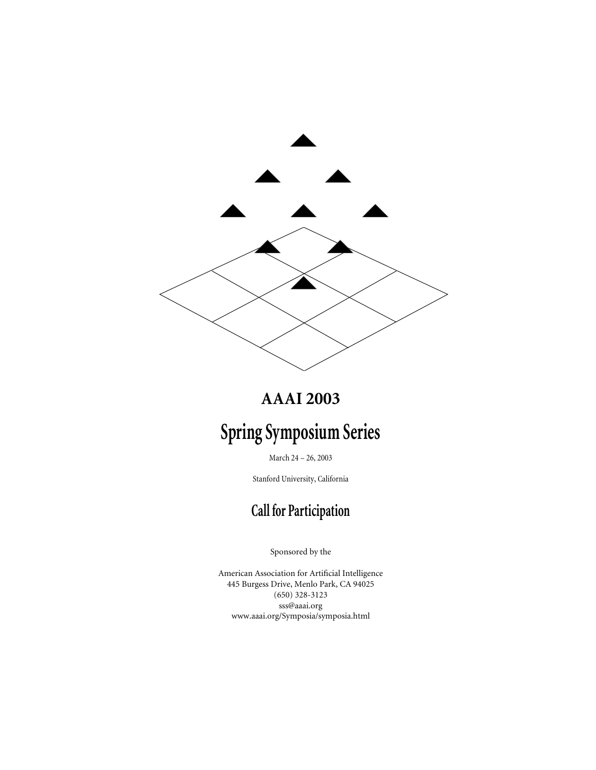

# **AAAI 2003**

# **Spring Symposium Series**

March 24 – 26, 2003

Stanford University, California

# **Call for Participation**

Sponsored by the

American Association for Artificial Intelligence 445 Burgess Drive, Menlo Park, CA 94025 (650) 328-3123 sss@aaai.org www.aaai.org/Symposia/symposia.html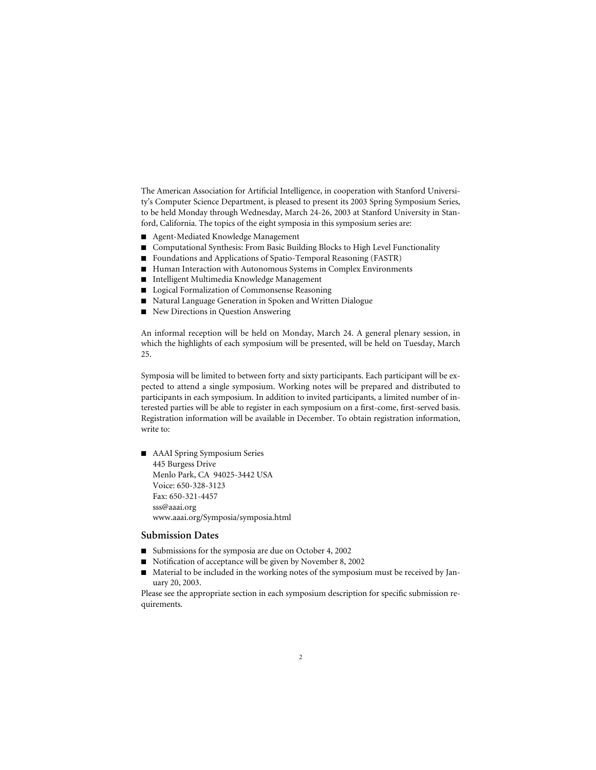The American Association for Artificial Intelligence, in cooperation with Stanford University's Computer Science Department, is pleased to present its 2003 Spring Symposium Series, to be held Monday through Wednesday, March 24-26, 2003 at Stanford University in Stanford, California. The topics of the eight symposia in this symposium series are:

- Agent-Mediated Knowledge Management
- Computational Synthesis: From Basic Building Blocks to High Level Functionality
- Foundations and Applications of Spatio-Temporal Reasoning (FASTR)
- Human Interaction with Autonomous Systems in Complex Environments
- Intelligent Multimedia Knowledge Management
- Logical Formalization of Commonsense Reasoning
- Natural Language Generation in Spoken and Written Dialogue
- New Directions in Question Answering

An informal reception will be held on Monday, March 24. A general plenary session, in which the highlights of each symposium will be presented, will be held on Tuesday, March 25.

Symposia will be limited to between forty and sixty participants. Each participant will be expected to attend a single symposium. Working notes will be prepared and distributed to participants in each symposium. In addition to invited participants, a limited number of interested parties will be able to register in each symposium on a first-come, first-served basis. Registration information will be available in December. To obtain registration information, write to:

■ AAAI Spring Symposium Series 445 Burgess Drive Menlo Park, CA 94025-3442 USA Voice: 650-328-3123 Fax: 650-321-4457 sss@aaai.org www.aaai.org/Symposia/symposia.html

#### **Submission Dates**

- Submissions for the symposia are due on October 4, 2002
- Notification of acceptance will be given by November 8, 2002
- Material to be included in the working notes of the symposium must be received by January 20, 2003.

Please see the appropriate section in each symposium description for specific submission requirements.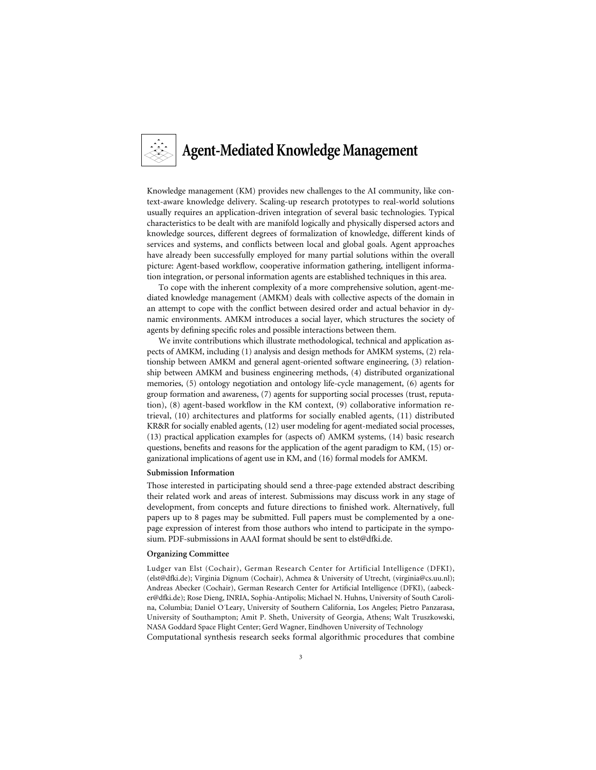

Knowledge management (KM) provides new challenges to the AI community, like context-aware knowledge delivery. Scaling-up research prototypes to real-world solutions usually requires an application-driven integration of several basic technologies. Typical characteristics to be dealt with are manifold logically and physically dispersed actors and knowledge sources, different degrees of formalization of knowledge, different kinds of services and systems, and conflicts between local and global goals. Agent approaches have already been successfully employed for many partial solutions within the overall picture: Agent-based workflow, cooperative information gathering, intelligent information integration, or personal information agents are established techniques in this area.

To cope with the inherent complexity of a more comprehensive solution, agent-mediated knowledge management (AMKM) deals with collective aspects of the domain in an attempt to cope with the conflict between desired order and actual behavior in dynamic environments. AMKM introduces a social layer, which structures the society of agents by defining specific roles and possible interactions between them.

We invite contributions which illustrate methodological, technical and application aspects of AMKM, including (1) analysis and design methods for AMKM systems, (2) relationship between AMKM and general agent-oriented software engineering, (3) relationship between AMKM and business engineering methods, (4) distributed organizational memories, (5) ontology negotiation and ontology life-cycle management, (6) agents for group formation and awareness, (7) agents for supporting social processes (trust, reputation), (8) agent-based workflow in the KM context, (9) collaborative information retrieval, (10) architectures and platforms for socially enabled agents, (11) distributed KR&R for socially enabled agents, (12) user modeling for agent-mediated social processes, (13) practical application examples for (aspects of) AMKM systems, (14) basic research questions, benefits and reasons for the application of the agent paradigm to KM, (15) organizational implications of agent use in KM, and (16) formal models for AMKM.

#### **Submission Information**

Those interested in participating should send a three-page extended abstract describing their related work and areas of interest. Submissions may discuss work in any stage of development, from concepts and future directions to finished work. Alternatively, full papers up to 8 pages may be submitted. Full papers must be complemented by a onepage expression of interest from those authors who intend to participate in the symposium. PDF-submissions in AAAI format should be sent to elst@dfki.de.

#### **Organizing Committee**

Ludger van Elst (Cochair), German Research Center for Artificial Intelligence (DFKI), (elst@dfki.de); Virginia Dignum (Cochair), Achmea & University of Utrecht, (virginia@cs.uu.nl); Andreas Abecker (Cochair), German Research Center for Artificial Intelligence (DFKI), (aabecker@dfki.de); Rose Dieng, INRIA, Sophia-Antipolis; Michael N. Huhns, University of South Carolina, Columbia; Daniel O´Leary, University of Southern California, Los Angeles; Pietro Panzarasa, University of Southampton; Amit P. Sheth, University of Georgia, Athens; Walt Truszkowski, NASA Goddard Space Flight Center; Gerd Wagner, Eindhoven University of Technology

Computational synthesis research seeks formal algorithmic procedures that combine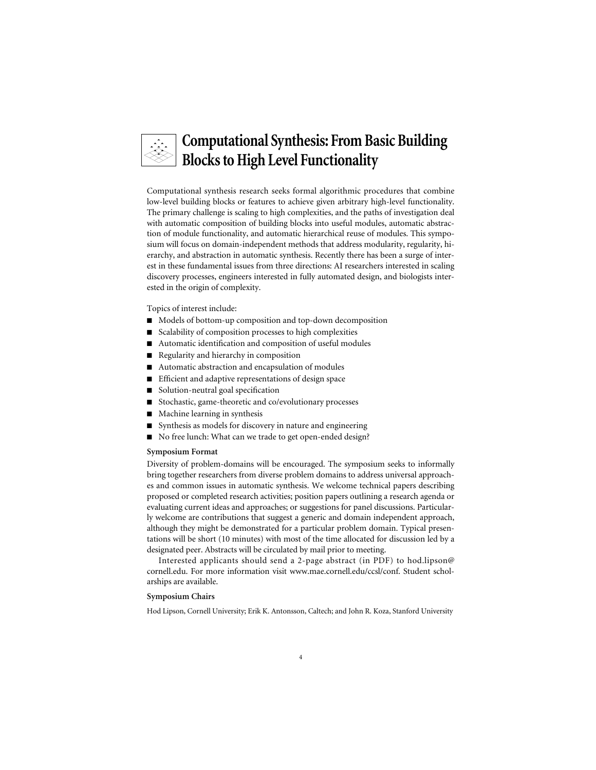### **Computational Synthesis: From Basic Building Blocks to High Level Functionality**

Computational synthesis research seeks formal algorithmic procedures that combine low-level building blocks or features to achieve given arbitrary high-level functionality. The primary challenge is scaling to high complexities, and the paths of investigation deal with automatic composition of building blocks into useful modules, automatic abstraction of module functionality, and automatic hierarchical reuse of modules. This symposium will focus on domain-independent methods that address modularity, regularity, hierarchy, and abstraction in automatic synthesis. Recently there has been a surge of interest in these fundamental issues from three directions: AI researchers interested in scaling discovery processes, engineers interested in fully automated design, and biologists interested in the origin of complexity.

Topics of interest include:

- Models of bottom-up composition and top-down decomposition
- Scalability of composition processes to high complexities
- Automatic identification and composition of useful modules
- Regularity and hierarchy in composition
- Automatic abstraction and encapsulation of modules
- Efficient and adaptive representations of design space
- Solution-neutral goal specification
- Stochastic, game-theoretic and co/evolutionary processes
- Machine learning in synthesis
- Synthesis as models for discovery in nature and engineering
- No free lunch: What can we trade to get open-ended design?

#### **Symposium Format**

Diversity of problem-domains will be encouraged. The symposium seeks to informally bring together researchers from diverse problem domains to address universal approaches and common issues in automatic synthesis. We welcome technical papers describing proposed or completed research activities; position papers outlining a research agenda or evaluating current ideas and approaches; or suggestions for panel discussions. Particularly welcome are contributions that suggest a generic and domain independent approach, although they might be demonstrated for a particular problem domain. Typical presentations will be short (10 minutes) with most of the time allocated for discussion led by a designated peer. Abstracts will be circulated by mail prior to meeting.

Interested applicants should send a 2-page abstract (in PDF) to hod.lipson@ cornell.edu. For more information visit www.mae.cornell.edu/ccsl/conf. Student scholarships are available.

#### **Symposium Chairs**

Hod Lipson, Cornell University; Erik K. Antonsson, Caltech; and John R. Koza, Stanford University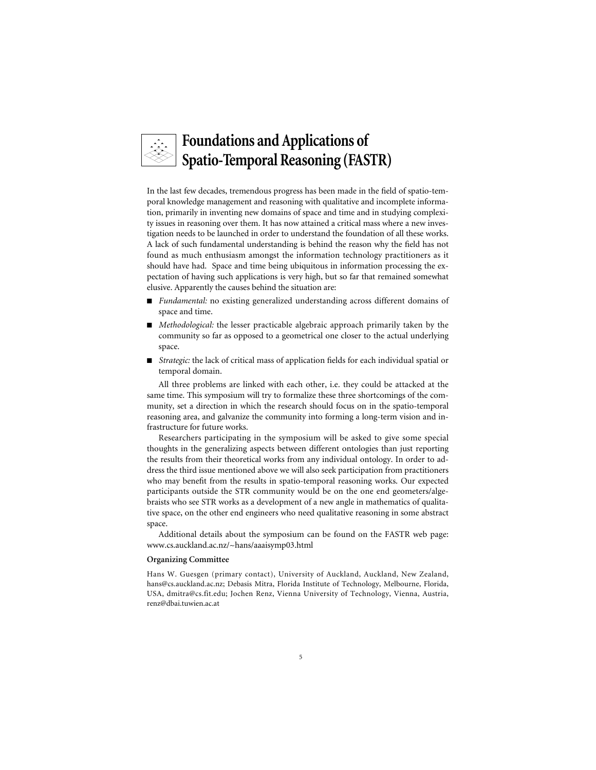# **Foundations and Applications of Spatio-Temporal Reasoning (FASTR)**

In the last few decades, tremendous progress has been made in the field of spatio-temporal knowledge management and reasoning with qualitative and incomplete information, primarily in inventing new domains of space and time and in studying complexity issues in reasoning over them. It has now attained a critical mass where a new investigation needs to be launched in order to understand the foundation of all these works. A lack of such fundamental understanding is behind the reason why the field has not found as much enthusiasm amongst the information technology practitioners as it should have had. Space and time being ubiquitous in information processing the expectation of having such applications is very high, but so far that remained somewhat elusive. Apparently the causes behind the situation are:

- *Fundamental:* no existing generalized understanding across different domains of space and time.
- *Methodological:* the lesser practicable algebraic approach primarily taken by the community so far as opposed to a geometrical one closer to the actual underlying space.
- *Strategic:* the lack of critical mass of application fields for each individual spatial or temporal domain.

All three problems are linked with each other, i.e. they could be attacked at the same time. This symposium will try to formalize these three shortcomings of the community, set a direction in which the research should focus on in the spatio-temporal reasoning area, and galvanize the community into forming a long-term vision and infrastructure for future works.

Researchers participating in the symposium will be asked to give some special thoughts in the generalizing aspects between different ontologies than just reporting the results from their theoretical works from any individual ontology. In order to address the third issue mentioned above we will also seek participation from practitioners who may benefit from the results in spatio-temporal reasoning works. Our expected participants outside the STR community would be on the one end geometers/algebraists who see STR works as a development of a new angle in mathematics of qualitative space, on the other end engineers who need qualitative reasoning in some abstract space.

Additional details about the symposium can be found on the FASTR web page: www.cs.auckland.ac.nz/~hans/aaaisymp03.html

#### **Organizing Committee**

Hans W. Guesgen (primary contact), University of Auckland, Auckland, New Zealand, hans@cs.auckland.ac.nz; Debasis Mitra, Florida Institute of Technology, Melbourne, Florida, USA, dmitra@cs.fit.edu; Jochen Renz, Vienna University of Technology, Vienna, Austria, renz@dbai.tuwien.ac.at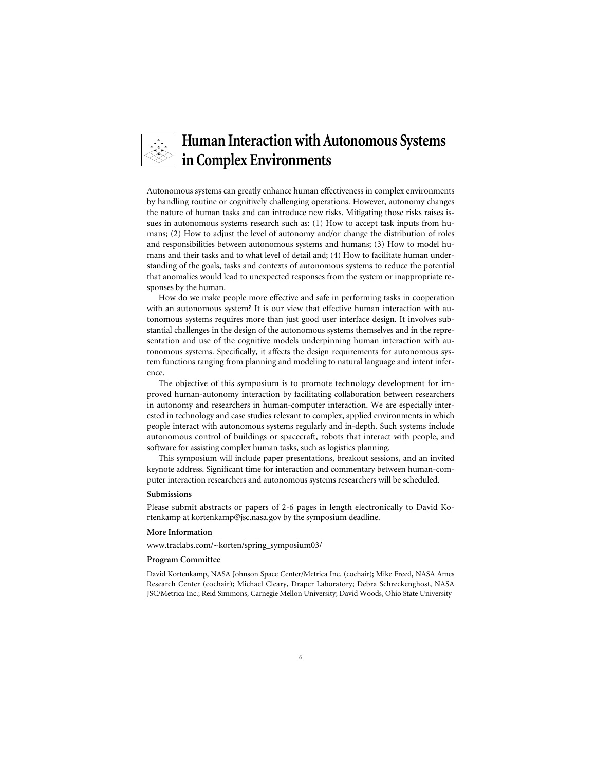### **Human Interaction with Autonomous Systems in Complex Environments**

Autonomous systems can greatly enhance human effectiveness in complex environments by handling routine or cognitively challenging operations. However, autonomy changes the nature of human tasks and can introduce new risks. Mitigating those risks raises issues in autonomous systems research such as: (1) How to accept task inputs from humans; (2) How to adjust the level of autonomy and/or change the distribution of roles and responsibilities between autonomous systems and humans; (3) How to model humans and their tasks and to what level of detail and; (4) How to facilitate human understanding of the goals, tasks and contexts of autonomous systems to reduce the potential that anomalies would lead to unexpected responses from the system or inappropriate responses by the human.

How do we make people more effective and safe in performing tasks in cooperation with an autonomous system? It is our view that effective human interaction with autonomous systems requires more than just good user interface design. It involves substantial challenges in the design of the autonomous systems themselves and in the representation and use of the cognitive models underpinning human interaction with autonomous systems. Specifically, it affects the design requirements for autonomous system functions ranging from planning and modeling to natural language and intent inference.

The objective of this symposium is to promote technology development for improved human-autonomy interaction by facilitating collaboration between researchers in autonomy and researchers in human-computer interaction. We are especially interested in technology and case studies relevant to complex, applied environments in which people interact with autonomous systems regularly and in-depth. Such systems include autonomous control of buildings or spacecraft, robots that interact with people, and software for assisting complex human tasks, such as logistics planning.

This symposium will include paper presentations, breakout sessions, and an invited keynote address. Significant time for interaction and commentary between human-computer interaction researchers and autonomous systems researchers will be scheduled.

#### **Submissions**

Please submit abstracts or papers of 2-6 pages in length electronically to David Kortenkamp at kortenkamp@jsc.nasa.gov by the symposium deadline.

#### **More Information**

www.traclabs.com/~korten/spring\_symposium03/

#### **Program Committee**

David Kortenkamp, NASA Johnson Space Center/Metrica Inc. (cochair); Mike Freed, NASA Ames Research Center (cochair); Michael Cleary, Draper Laboratory; Debra Schreckenghost, NASA JSC/Metrica Inc.; Reid Simmons, Carnegie Mellon University; David Woods, Ohio State University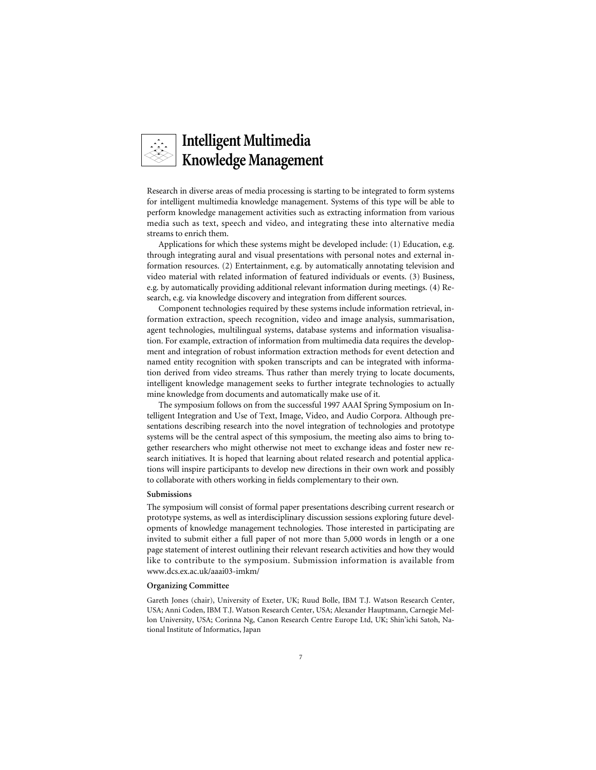# **Intelligent Multimedia Knowledge Management**

Research in diverse areas of media processing is starting to be integrated to form systems for intelligent multimedia knowledge management. Systems of this type will be able to perform knowledge management activities such as extracting information from various media such as text, speech and video, and integrating these into alternative media streams to enrich them.

Applications for which these systems might be developed include: (1) Education, e.g. through integrating aural and visual presentations with personal notes and external information resources. (2) Entertainment, e.g. by automatically annotating television and video material with related information of featured individuals or events. (3) Business, e.g. by automatically providing additional relevant information during meetings. (4) Research, e.g. via knowledge discovery and integration from different sources.

Component technologies required by these systems include information retrieval, information extraction, speech recognition, video and image analysis, summarisation, agent technologies, multilingual systems, database systems and information visualisation. For example, extraction of information from multimedia data requires the development and integration of robust information extraction methods for event detection and named entity recognition with spoken transcripts and can be integrated with information derived from video streams. Thus rather than merely trying to locate documents, intelligent knowledge management seeks to further integrate technologies to actually mine knowledge from documents and automatically make use of it.

The symposium follows on from the successful 1997 AAAI Spring Symposium on Intelligent Integration and Use of Text, Image, Video, and Audio Corpora. Although presentations describing research into the novel integration of technologies and prototype systems will be the central aspect of this symposium, the meeting also aims to bring together researchers who might otherwise not meet to exchange ideas and foster new research initiatives. It is hoped that learning about related research and potential applications will inspire participants to develop new directions in their own work and possibly to collaborate with others working in fields complementary to their own.

#### **Submissions**

The symposium will consist of formal paper presentations describing current research or prototype systems, as well as interdisciplinary discussion sessions exploring future developments of knowledge management technologies. Those interested in participating are invited to submit either a full paper of not more than 5,000 words in length or a one page statement of interest outlining their relevant research activities and how they would like to contribute to the symposium. Submission information is available from www.dcs.ex.ac.uk/aaai03-imkm/

#### **Organizing Committee**

Gareth Jones (chair), University of Exeter, UK; Ruud Bolle, IBM T.J. Watson Research Center, USA; Anni Coden, IBM T.J. Watson Research Center, USA; Alexander Hauptmann, Carnegie Mellon University, USA; Corinna Ng, Canon Research Centre Europe Ltd, UK; Shin'ichi Satoh, National Institute of Informatics, Japan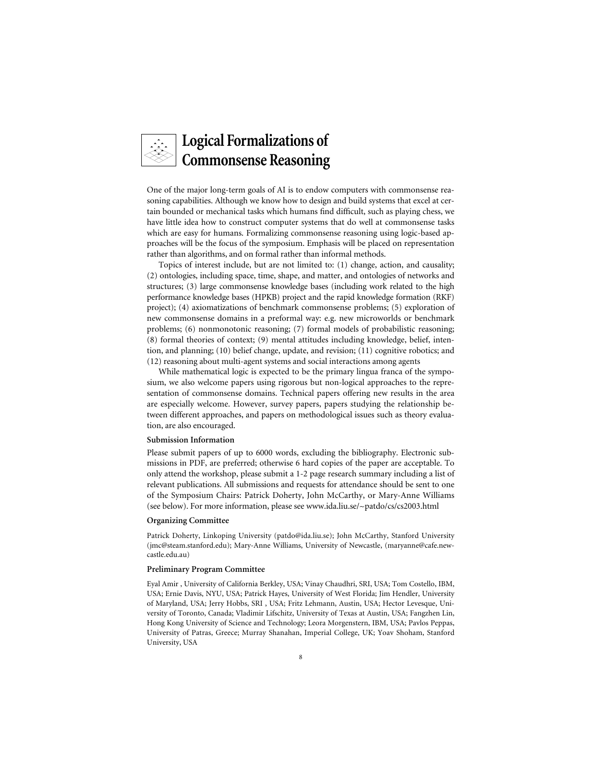# **Logical Formalizations of Commonsense Reasoning**

One of the major long-term goals of AI is to endow computers with commonsense reasoning capabilities. Although we know how to design and build systems that excel at certain bounded or mechanical tasks which humans find difficult, such as playing chess, we have little idea how to construct computer systems that do well at commonsense tasks which are easy for humans. Formalizing commonsense reasoning using logic-based approaches will be the focus of the symposium. Emphasis will be placed on representation rather than algorithms, and on formal rather than informal methods.

Topics of interest include, but are not limited to: (1) change, action, and causality; (2) ontologies, including space, time, shape, and matter, and ontologies of networks and structures; (3) large commonsense knowledge bases (including work related to the high performance knowledge bases (HPKB) project and the rapid knowledge formation (RKF) project); (4) axiomatizations of benchmark commonsense problems; (5) exploration of new commonsense domains in a preformal way: e.g. new microworlds or benchmark problems; (6) nonmonotonic reasoning; (7) formal models of probabilistic reasoning; (8) formal theories of context; (9) mental attitudes including knowledge, belief, intention, and planning; (10) belief change, update, and revision; (11) cognitive robotics; and (12) reasoning about multi-agent systems and social interactions among agents

While mathematical logic is expected to be the primary lingua franca of the symposium, we also welcome papers using rigorous but non-logical approaches to the representation of commonsense domains. Technical papers offering new results in the area are especially welcome. However, survey papers, papers studying the relationship between different approaches, and papers on methodological issues such as theory evaluation, are also encouraged.

#### **Submission Information**

Please submit papers of up to 6000 words, excluding the bibliography. Electronic submissions in PDF, are preferred; otherwise 6 hard copies of the paper are acceptable. To only attend the workshop, please submit a 1-2 page research summary including a list of relevant publications. All submissions and requests for attendance should be sent to one of the Symposium Chairs: Patrick Doherty, John McCarthy, or Mary-Anne Williams (see below). For more information, please see www.ida.liu.se/~patdo/cs/cs2003.html

#### **Organizing Committee**

Patrick Doherty, Linkoping University (patdo@ida.liu.se); John McCarthy, Stanford University (jmc@steam.stanford.edu); Mary-Anne Williams, University of Newcastle, (maryanne@cafe.newcastle.edu.au)

#### **Preliminary Program Committee**

Eyal Amir , University of California Berkley, USA; Vinay Chaudhri, SRI, USA; Tom Costello, IBM, USA; Ernie Davis, NYU, USA; Patrick Hayes, University of West Florida; Jim Hendler, University of Maryland, USA; Jerry Hobbs, SRI , USA; Fritz Lehmann, Austin, USA; Hector Levesque, University of Toronto, Canada; Vladimir Lifschitz, University of Texas at Austin, USA; Fangzhen Lin, Hong Kong University of Science and Technology; Leora Morgenstern, IBM, USA; Pavlos Peppas, University of Patras, Greece; Murray Shanahan, Imperial College, UK; Yoav Shoham, Stanford University, USA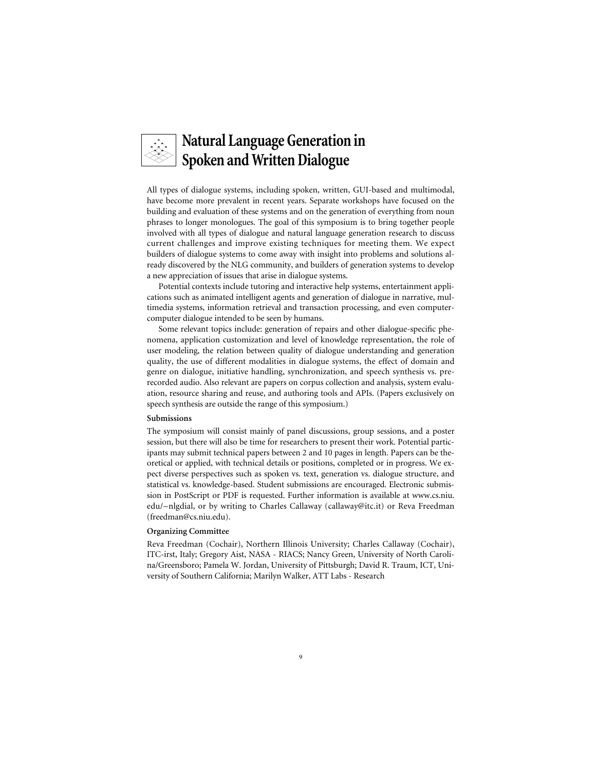

All types of dialogue systems, including spoken, written, GUI-based and multimodal, have become more prevalent in recent years. Separate workshops have focused on the building and evaluation of these systems and on the generation of everything from noun phrases to longer monologues. The goal of this symposium is to bring together people involved with all types of dialogue and natural language generation research to discuss current challenges and improve existing techniques for meeting them. We expect builders of dialogue systems to come away with insight into problems and solutions already discovered by the NLG community, and builders of generation systems to develop a new appreciation of issues that arise in dialogue systems.

Potential contexts include tutoring and interactive help systems, entertainment applications such as animated intelligent agents and generation of dialogue in narrative, multimedia systems, information retrieval and transaction processing, and even computercomputer dialogue intended to be seen by humans.

Some relevant topics include: generation of repairs and other dialogue-specific phenomena, application customization and level of knowledge representation, the role of user modeling, the relation between quality of dialogue understanding and generation quality, the use of different modalities in dialogue systems, the effect of domain and genre on dialogue, initiative handling, synchronization, and speech synthesis vs. prerecorded audio. Also relevant are papers on corpus collection and analysis, system evaluation, resource sharing and reuse, and authoring tools and APIs. (Papers exclusively on speech synthesis are outside the range of this symposium.)

#### **Submissions**

The symposium will consist mainly of panel discussions, group sessions, and a poster session, but there will also be time for researchers to present their work. Potential participants may submit technical papers between 2 and 10 pages in length. Papers can be theoretical or applied, with technical details or positions, completed or in progress. We expect diverse perspectives such as spoken vs. text, generation vs. dialogue structure, and statistical vs. knowledge-based. Student submissions are encouraged. Electronic submission in PostScript or PDF is requested. Further information is available at www.cs.niu. edu/~nlgdial, or by writing to Charles Callaway (callaway@itc.it) or Reva Freedman (freedman@cs.niu.edu).

#### **Organizing Committee**

Reva Freedman (Cochair), Northern Illinois University; Charles Callaway (Cochair), ITC-irst, Italy; Gregory Aist, NASA - RIACS; Nancy Green, University of North Carolina/Greensboro; Pamela W. Jordan, University of Pittsburgh; David R. Traum, ICT, University of Southern California; Marilyn Walker, ATT Labs - Research